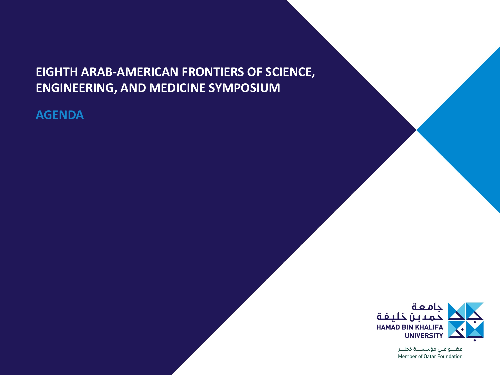### **EIGHTH ARAB-AMERICAN FRONTIERS OF SCIENCE, ENGINEERING, AND MEDICINE SYMPOSIUM**

**AGENDA**



عضــو فـي مؤسســـة قطـــر Member of Qatar Foundation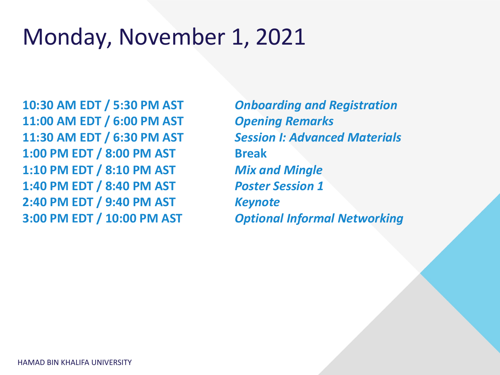





# Monday, November 1, 2021

**10:30 AM EDT / 5:30 PM AST** *Onboarding and Registration* **11:00 AM EDT / 6:00 PM AST** *Opening Remarks* **11:30 AM EDT / 6:30 PM AST** *Session I: Advanced Materials* **1:00 PM EDT / 8:00 PM AST Break 1:10 PM EDT / 8:10 PM AST** *Mix and Mingle* **1:40 PM EDT / 8:40 PM AST** *Poster Session 1* **2:40 PM EDT / 9:40 PM AST** *Keynote* **3:00 PM EDT / 10:00 PM AST** *Optional Informal Networking*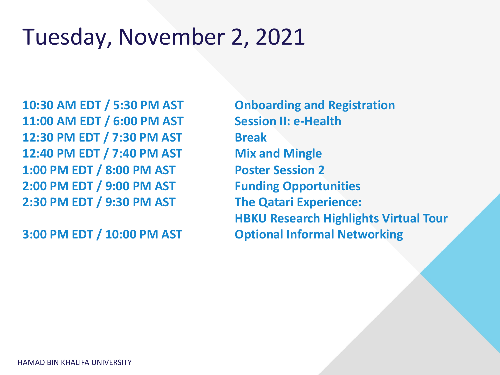

# Tuesday, November 2, 2021

**10:30 AM EDT / 5:30 PM AST Onboarding and Registration 11:00 AM EDT / 6:00 PM AST Session II: e-Health 12:30 PM EDT / 7:30 PM AST Break 12:40 PM EDT / 7:40 PM AST Mix and Mingle 1:00 PM EDT / 8:00 PM AST Poster Session 2 2:00 PM EDT / 9:00 PM AST Funding Opportunities 2:30 PM EDT / 9:30 PM AST The Qatari Experience:** 

**HBKU Research Highlights Virtual Tour**

**3:00 PM EDT / 10:00 PM AST Optional Informal Networking**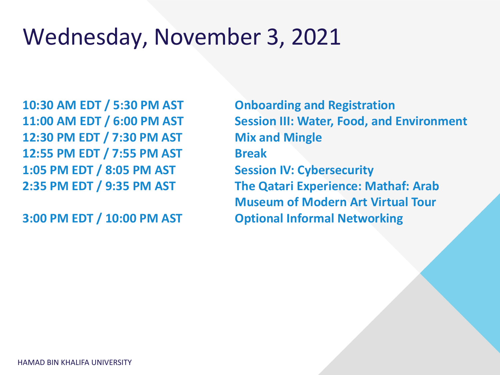## Wednesday, November 3, 2021

**10:30 AM EDT / 5:30 PM AST Onboarding and Registration 11:00 AM EDT / 6:00 PM AST Session III: Water, Food, and Environment 12:30 PM EDT / 7:30 PM AST Mix and Mingle 12:55 PM EDT / 7:55 PM AST Break 1:05 PM EDT / 8:05 PM AST Session IV: Cybersecurity 2:35 PM EDT / 9:35 PM AST The Qatari Experience: Mathaf: Arab** 

**Museum of Modern Art Virtual Tour**

**3:00 PM EDT / 10:00 PM AST Optional Informal Networking**